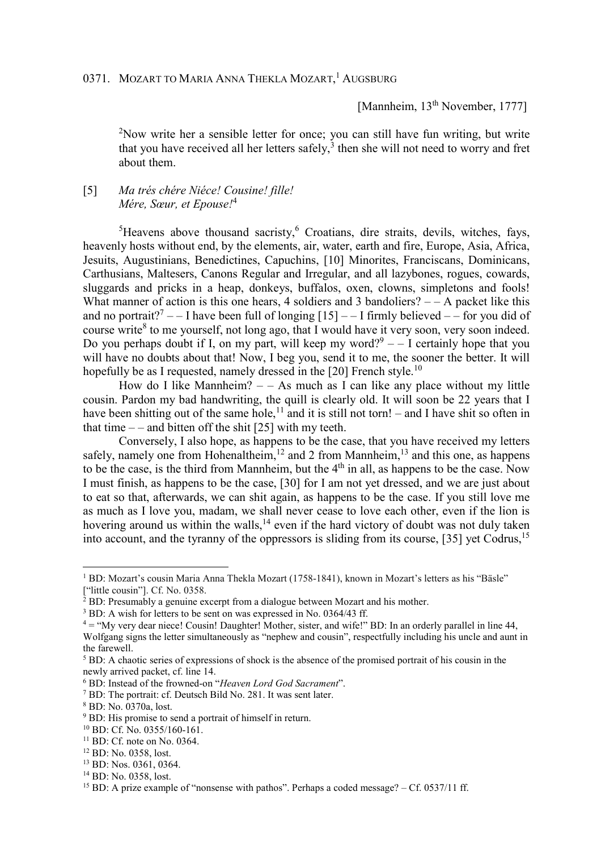[Mannheim, 13<sup>th</sup> November, 1777]

<sup>2</sup>Now write her a sensible letter for once; you can still have fun writing, but write that you have received all her letters safely, $3$  then she will not need to worry and fret about them.

## [5] *Ma trés chére Niéce! Cousine! fille! Mére, Sœur, et Epouse!*<sup>4</sup>

 ${}^{5}$ Heavens above thousand sacristy, <sup>6</sup> Croatians, dire straits, devils, witches, fays, heavenly hosts without end, by the elements, air, water, earth and fire, Europe, Asia, Africa, Jesuits, Augustinians, Benedictines, Capuchins, [10] Minorites, Franciscans, Dominicans, Carthusians, Maltesers, Canons Regular and Irregular, and all lazybones, rogues, cowards, sluggards and pricks in a heap, donkeys, buffalos, oxen, clowns, simpletons and fools! What manner of action is this one hears, 4 soldiers and 3 bandoliers?  $- - A$  packet like this and no portrait?<sup>7</sup> - - I have been full of longing  $[15]$  - - I firmly believed - - for you did of course write<sup>8</sup> to me yourself, not long ago, that I would have it very soon, very soon indeed. Do you perhaps doubt if I, on my part, will keep my word? $9 - 1$  certainly hope that you will have no doubts about that! Now, I beg you, send it to me, the sooner the better. It will hopefully be as I requested, namely dressed in the [20] French style. $^{10}$ 

How do I like Mannheim?  $-$  – As much as I can like any place without my little cousin. Pardon my bad handwriting, the quill is clearly old. It will soon be 22 years that I have been shitting out of the same hole,<sup>11</sup> and it is still not torn! – and I have shit so often in that time  $-$  – and bitten off the shit [25] with my teeth.

Conversely, I also hope, as happens to be the case, that you have received my letters safely, namely one from Hohenaltheim,  $12$  and 2 from Mannheim,  $13$  and this one, as happens to be the case, is the third from Mannheim, but the  $4<sup>th</sup>$  in all, as happens to be the case. Now I must finish, as happens to be the case, [30] for I am not yet dressed, and we are just about to eat so that, afterwards, we can shit again, as happens to be the case. If you still love me as much as I love you, madam, we shall never cease to love each other, even if the lion is hovering around us within the walls, $^{14}$  even if the hard victory of doubt was not duly taken into account, and the tyranny of the oppressors is sliding from its course, [35] yet Codrus,<sup>15</sup>

 $\overline{a}$ 

<sup>&</sup>lt;sup>1</sup> BD: Mozart's cousin Maria Anna Thekla Mozart (1758-1841), known in Mozart's letters as his "Bäsle" ["little cousin"]. Cf. No. 0358.

 $2$  BD: Presumably a genuine excerpt from a dialogue between Mozart and his mother.

<sup>&</sup>lt;sup>3</sup> BD: A wish for letters to be sent on was expressed in No. 0364/43 ff.

 $4 =$  "My very dear niece! Cousin! Daughter! Mother, sister, and wife!" BD: In an orderly parallel in line 44, Wolfgang signs the letter simultaneously as "nephew and cousin", respectfully including his uncle and aunt in the farewell.

<sup>&</sup>lt;sup>5</sup> BD: A chaotic series of expressions of shock is the absence of the promised portrait of his cousin in the newly arrived packet, cf. line 14.

<sup>6</sup> BD: Instead of the frowned-on "*Heaven Lord God Sacrament*".

<sup>7</sup> BD: The portrait: cf. Deutsch Bild No. 281. It was sent later.

<sup>8</sup> BD: No. 0370a, lost.

<sup>&</sup>lt;sup>9</sup> BD: His promise to send a portrait of himself in return.

<sup>10</sup> BD: Cf. No. 0355/160-161.

 $11$  BD: Cf. note on No. 0364.

<sup>12</sup> BD: No. 0358, lost.

<sup>13</sup> BD: Nos. 0361, 0364.

<sup>&</sup>lt;sup>14</sup> BD: No. 0358, lost.

<sup>&</sup>lt;sup>15</sup> BD: A prize example of "nonsense with pathos". Perhaps a coded message? – Cf. 0537/11 ff.